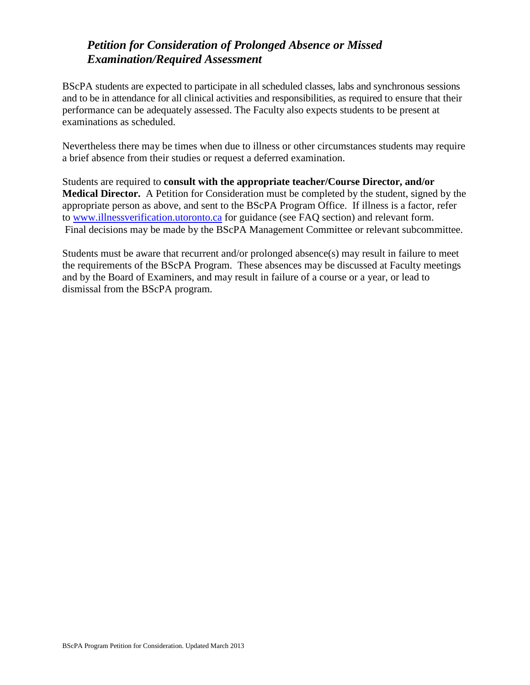## *Petition for Consideration of Prolonged Absence or Missed Examination/Required Assessment*

BScPA students are expected to participate in all scheduled classes, labs and synchronous sessions and to be in attendance for all clinical activities and responsibilities, as required to ensure that their performance can be adequately assessed. The Faculty also expects students to be present at examinations as scheduled.

Nevertheless there may be times when due to illness or other circumstances students may require a brief absence from their studies or request a deferred examination.

Students are required to **consult with the appropriate teacher/Course Director, and/or Medical Director.** A Petition for Consideration must be completed by the student, signed by the appropriate person as above, and sent to the BScPA Program Office. If illness is a factor, refer to [www.illnessverification.utoronto.ca](http://www.illnessverification.utoronto.ca/) for guidance (see FAQ section) and relevant form. Final decisions may be made by the BScPA Management Committee or relevant subcommittee.

Students must be aware that recurrent and/or prolonged absence(s) may result in failure to meet the requirements of the BScPA Program. These absences may be discussed at Faculty meetings and by the Board of Examiners, and may result in failure of a course or a year, or lead to dismissal from the BScPA program.